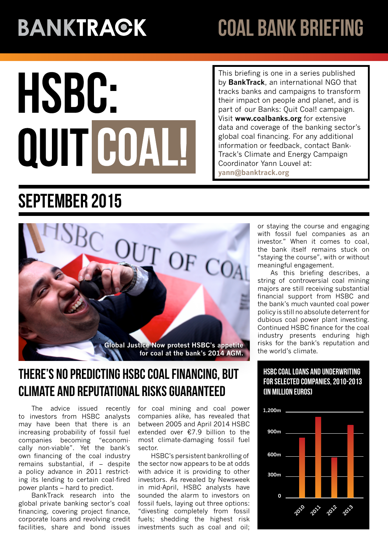# **BANKTRAGK**

# coal bank briefing

# HSBC: QUIT COAL

This briefing is one in a series published by **BankTrack**, an international NGO that tracks banks and campaigns to transform their impact on people and planet, and is part of our Banks: Quit Coal! campaign. Visit **[www.coalbanks.org](http://www.coalbanks.org/)** for extensive data and coverage of the banking sector's global coal financing. For any additional information or feedback, contact Bank-Track's Climate and Energy Campaign Coordinator Yann Louvel at: **yann@banktrack.org**

# September 2015



## There's no predicting HSBC coal financing, but climate and reputational risks guaranteed

The advice issued recently to investors from HSBC analysts may have been that there is an increasing probability of fossil fuel companies becoming "economically non-viable". Yet the bank's own financing of the coal industry remains substantial, if – despite a policy advance in 2011 restricting its lending to certain coal-fired power plants – hard to predict.

BankTrack research into the global private banking sector's coal financing, covering project finance, corporate loans and revolving credit facilities, share and bond issues

for coal mining and coal power companies alike, has revealed that between 2005 and April 2014 HSBC extended over €7.9 billion to the most climate-damaging fossil fuel sector.

HSBC's persistent bankrolling of the sector now appears to be at odds with advice it is providing to other investors. As revealed by Newsweek in mid-April, HSBC analysts have sounded the alarm to investors on fossil fuels, laying out three options: "divesting completely from fossil fuels; shedding the highest risk investments such as coal and oil; or staying the course and engaging with fossil fuel companies as an investor." When it comes to coal, the bank itself remains stuck on "staying the course", with or without meaningful engagement.

As this briefing describes, a string of controversial coal mining majors are still receiving substantial financial support from HSBC and the bank's much vaunted coal power policy is still no absolute deterrent for dubious coal power plant investing. Continued HSBC finance for the coal industry presents enduring high risks for the bank's reputation and the world's climate.

#### HSBC coal loans and underwriting for selected companies, 2010-2013 (in million euros)

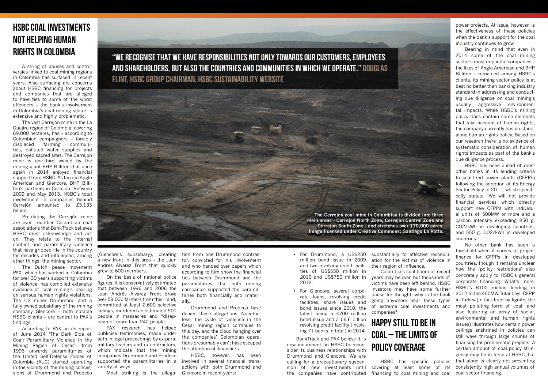• For Drummond, a US\$250 million bond issue in 2009 and two revolving credit facilities of US\$550 million in 2010 and US\$750 million in 2012.

For Glencore, several corporate loans, revolving credit facilities, share issues and bond issues since 2010, the latest being a €700 million bond issue and a €6.6 billion revolving credit facility (involving 71 banks in total) in 2014.

BankTrack and PAX believe it is now incumbent on HSBC to reconsider its business relationships with Drummond and Glencore. We are calling for a precautionary suspenthe companies have contributed

sion of new investments until covering at least some of its financing to coal mining and coal

# Happy Still to Be in Coal – the limits of policy coverage

# HSBC coal investments not helping human rights in Colombia

A string of abuses and controversies linked to coal mining regions in Colombia has surfaced in recent years. Also surfacing are concerns about HSBC financing for projects and companies that are alleged to have ties to some of the worst offenders – the bank's involvement in Colombia's coal mining sector is extensive and highly problematic.

The vast Cerrejón mine in the La Guajira region of Colombia, covering 69,000 hectares, has – according to Colombian campaigners – forcibly displaced farming communities, polluted water supplies and destroyed sacred sites. The Cerrejón mine is one-third owned by the mining giant BHP Billiton that once again in 2014 enjoyed financial support from HSBC. As too did Anglo American and Glencore, BHP Billiton's partners in Cerrejón. Between 2009 and May 2013, HSBC's total involvement in companies behind Cerrejón amounted to £3.133 billion.

Pre-dating the Cerrejón mine are even muddier Colombian coal associations that BankTrack believes HSBC must acknowledge and act on. They relate to the internal conflict and paramilitary violence that have gripped life in the country for decades and influenced, among other things, the mining sector.

The Dutch peace movement PAX, which has worked in Colombia for over 30 years supporting victims of violence, has compiled extensive evidence of coal mining's bearing on serious human rights violations. The US miner Drummond and a fully owned subsidiary of the mining company Glencore – both notable HSBC clients – are central to PAX's people in massacres and "disapfindings.

According to PAX, in its report of June 2014 'The Dark Side of Coal: Paramilitary Violence in the Mining Region of Cesar', from 1996 onwards paramilitaries of the United Self-Defense Forces of Colombia (AUC) started operating in the vicinity of the mining concessions of Drummond and Prodeco

(Glencore's subsidiary), creating a new front in this area – the Juan Andrés Álvarez Front that quickly grew to 600 members.

"We recognise that we have responsibilities not only towards our customers, employees and shareholders, but also the countries and communities in which we operate." Douglas FLINT, HSBC GROUP CHAIRMAN, HSBC SUSTAINABILITY WEBSITE

On the basis of national police figures, it is conservatively estimated that between 1996 and 2006 the Juan Andrés Álvarez Front drove over 59,000 farmers from their land, committed at least 2,600 selective killings, murdered an estimated 500 peared" more than 240 people.

substantially to effective reconciliation for the victims of violence in their region of influence. Colombia's coal boom of recent years may be over, but thousands of victims have been left behind. HSBC investors may have some further pause for thought: why is the bank going anywhere near these types of extreme coal investments and companies? HSBC has specific policies No other bank has such a threshold when it comes to project finance for CFPPs in developed countries, though it remains unclear how the 'policy restrictions' also concretely apply to HSBC's general corporate financing. What's more, HSBC's €100 million lending in 2012 to the 450MW Tufanbeyli CFPP in Turkey (in fact fired by lignite, the most polluting form of coal, and also featuring an array of social, environmental and human rights issues) illustrates how certain power ceilings enshrined in policies can still wave through large chunks of financing for problematic projects. A certain amount of coal policy stringency may be in force at HSBC, but that alone is clearly not preventing consistently high annual volumes of coal sector financing.

PAX research has helped publicise testimonies, made under oath in legal proceedings by ex-paramilitary leaders and ex-contractors, which indicate that the mining companies Drummond and Prodeco supported the paramilitaries in a variety of ways.

Most striking is the allega-

tion from one Drummond contractor, convicted for his involvement and who handed over papers which according to him show the financial ties between Drummond and the paramilitaries, that both mining companies supported the paramilitaries both financially and materially.

Drummond and Prodeco have denied these allegations. Nonetheless, the cycle of violence in the Cesar mining region continues to this day, and the cloud hanging over the companies' Colombian operations presumably can't have escaped the attention of financiers.

HSBC, however, has been involved in several financial transactions with both Drummond and Glencore in recent years:

power projects. At issue, however, is the effectiveness of these policies when the bank's support for the coal industry continues to grow.

Bearing in mind that even in 2014 some of the coal mining sector's most impactful companies – the likes of Anglo American and BHP Billiton – remained among HSBC's clients, its mining sector policy is at best no better than banking industry standard in addressing and conducting due diligence on coal mining's usually aggressive environmental impacts. While HSBC's mining policy does contain some elements that take account of human rights, the company currently has no standalone human rights policy. Based on our research there is no evidence of systematic consideration of human rights impacts as part of the bank's due diligence process.

HSBC has been ahead of most other banks in its lending criteria to coal-fired power plants (CFPPs) following the adoption of its Energy Sector Policy in 2011, which specifically states: "We will not provide financial services which directly support new CFPPs with individual units of 500MW or more and a carbon intensity exceeding 850 g. CO2/kWh in developing countries, and 550 g. CO2/kWh in developed countries."

**The Cerrejon coal mine in Columbian is divided into three main areas - Cerrejon North Zone, Cerrejon Central Zone and Cerrejon South Zone - and stretches over 170,000 acres. Image licensed under Creative Commons: Santiago La Rotta.**